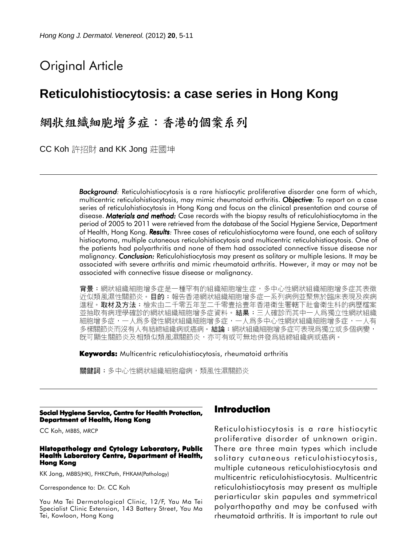# Original Article

## **Reticulohistiocytosis: a case series in Hong Kong**

# 網狀組織細胞增多症:香港的個案系列

CC Koh 許招財 and KK Jong 莊國坤

**Background:** Reticulohistiocytosis is a rare histiocytic proliferative disorder one form of which, multicentric reticulohistiocytosis, may mimic rheumatoid arthritis. *Objective: Objective* To report on a case series of reticulohistiocytosis in Hong Kong and focus on the clinical presentation and course of disease. *Materials and method: Materials and method:* Case records with the biopsy results of reticulohistiocytoma in the period of 2005 to 2011 were retrieved from the database of the Social Hygiene Service, Department of Health, Hong Kong. **Results**: Three cases of reticulohistiocytoma were found, one each of solitary histiocytoma, multiple cutaneous reticulohistiocytosis and multicentric reticulohistiocytosis. One of the patients had polyarthritis and none of them had associated connective tissue disease nor malignancy. *Conclusion:* Reticulohistiocytosis may present as solitary or multiple lesions. It may be associated with severe arthritis and mimic rheumatoid arthritis. However, it may or may not be associated with connective tissue disease or malignancy.

背景:網狀組織細胞增多症是一種罕有的組織細胞增生症,多中心性網狀組織細胞增多症其表徵 近似類風濕性關節炎。**目的:**報告香港網狀組織細胞增多症一系列病例並聚焦於臨床表現及疾病 進程。取材及方法:檢索由二千零五年至二千零壹拾壹年香港衛生署轄下社會衛生科的病歷檔案 並抽取有病理學確診的網狀組織細胞增多症資料。**結果:**三人確診而其中一人爲獨立性網狀組織 細胞增多症,一人爲多發性網狀組織細胞增多症,一人爲多中心性網狀組織細胞增多症,一人有 多樣關節炎而沒有人有結締組織病或癌病。結論:網狀組織細胞增多症可表現爲獨立或多個病變, 旣可顯生關節炎及相類似類風濕關節炎,亦可有或可無地併發爲結締組織病或癌病。

**Keywords:** Multicentric reticulohistiocytosis, rheumatoid arthritis

關鍵詞:多中心性網狀組織細胞瘤病,類風性濕關節炎

#### **Social Hygiene Service, Centre for Health Protection, Department of Health, Hong Kong**

CC Koh, MBBS, MRCP

#### **Histopathology and Cytology Laboratory, Public Health Laboratory Centre, Department of Health, Hong Kong**

KK Jong, MBBS(HK), FHKCPath, FHKAM(Pathology)

Correspondence to: Dr. CC Koh

Yau Ma Tei Dermatological Clinic, 12/F, Yau Ma Tei Specialist Clinic Extension, 143 Battery Street, Yau Ma Tei, Kowloon, Hong Kong

## **Introduction**

Reticulohistiocytosis is a rare histiocytic proliferative disorder of unknown origin. There are three main types which include solitary cutaneous reticulohistiocytosis, multiple cutaneous reticulohistiocytosis and multicentric reticulohistiocytosis. Multicentric reticulohistiocytosis may present as multiple periarticular skin papules and symmetrical polyarthopathy and may be confused with rheumatoid arthritis. It is important to rule out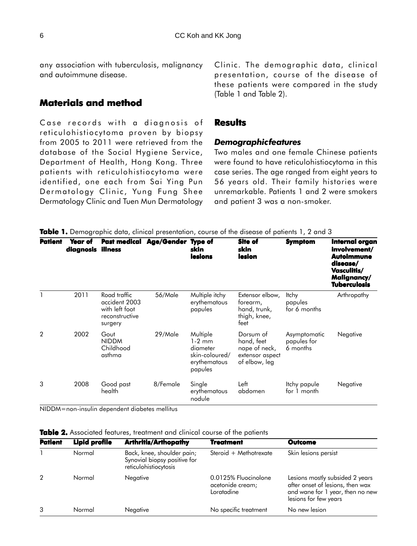any association with tuberculosis, malignancy and autoimmune disease.

### **Materials and method**

Case records with a diagnosis of reticulohistiocytoma proven by biopsy from 2005 to 2011 were retrieved from the database of the Social Hygiene Service, Department of Health, Hong Kong. Three patients with reticulohistiocytoma were identified, one each from Sai Ying Pun Dermatology Clinic, Yung Fung Shee Dermatology Clinic and Tuen Mun Dermatology Clinic. The demographic data, clinical presentation, course of the disease of these patients were compared in the study (Table 1 and Table 2).

### **Results**

### *Demographic features*

Two males and one female Chinese patients were found to have reticulohistiocytoma in this case series. The age ranged from eight years to 56 years old. Their family histories were unremarkable. Patients 1 and 2 were smokers and patient 3 was a non-smoker.

| <b>Patient</b> | Year of<br>diagnosis illness |                                                                              | Past medical Age/Gender Type of | skin<br>lesions                                                               | <b>Site of</b><br>skin<br>lesion                                             | <b>Symptom</b>                          | Internal organ<br>involvement/<br>Autoimmune<br>disease/<br>Vasculitis/<br>Malignancy/<br><b>Tuberculosis</b> |
|----------------|------------------------------|------------------------------------------------------------------------------|---------------------------------|-------------------------------------------------------------------------------|------------------------------------------------------------------------------|-----------------------------------------|---------------------------------------------------------------------------------------------------------------|
|                | 2011                         | Road traffic<br>accident 2003<br>with left foot<br>reconstructive<br>surgery | 56/Male                         | Multiple itchy<br>erythematous<br>papules                                     | Extensor elbow,<br>forearm,<br>hand, trunk,<br>thigh, knee,<br>feet          | <b>Itchy</b><br>papules<br>for 6 months | Arthropathy                                                                                                   |
| $\overline{2}$ | 2002                         | Gout<br><b>NIDDM</b><br>Childhood<br>asthma                                  | 29/Male                         | Multiple<br>$1-2$ mm<br>diameter<br>skin-coloured/<br>erythematous<br>papules | Dorsum of<br>hand, feet<br>nape of neck,<br>extensor aspect<br>of elbow, leg | Asymptomatic<br>papules for<br>6 months | Negative                                                                                                      |
| 3              | 2008                         | Good past<br>health                                                          | 8/Female                        | Single<br>erythematous<br>nodule                                              | Left<br>abdomen                                                              | Itchy papule<br>for 1 month             | Negative                                                                                                      |

**Table 1.** Demographic data, clinical presentation, course of the disease of patients 1, 2 and 3

NIDDM=non-insulin dependent diabetes mellitus

| <b>Table 2.</b> Associated features, treatment and clinical course of the patients |  |
|------------------------------------------------------------------------------------|--|
|------------------------------------------------------------------------------------|--|

| <b>Patient</b> | <b>Lipid profile</b> | <b>Arthritis/Arthopathy</b>                                                         | <b>Treatment</b>                                       | Outcome                                                                                                                          |  |
|----------------|----------------------|-------------------------------------------------------------------------------------|--------------------------------------------------------|----------------------------------------------------------------------------------------------------------------------------------|--|
|                | Normal               | Back, knee, shoulder pain;<br>Synovial biopsy positive for<br>reticulohistiocytosis | Steroid + Methotrexate                                 | Skin lesions persist                                                                                                             |  |
| $\overline{2}$ | Normal               | Negative                                                                            | 0.0125% Fluocinolone<br>acetonide cream;<br>Loratadine | Lesions mostly subsided 2 years<br>after onset of lesions, then wax<br>and wane for 1 year, then no new<br>lesions for few years |  |
| 3              | Normal               | Negative                                                                            | No specific treatment                                  | No new lesion                                                                                                                    |  |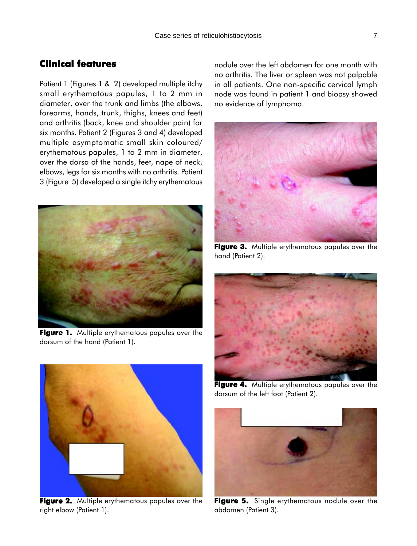### **Clinical features**

Patient 1 (Figures 1 & 2) developed multiple itchy small erythematous papules, 1 to 2 mm in diameter, over the trunk and limbs (the elbows, forearms, hands, trunk, thighs, knees and feet) and arthritis (back, knee and shoulder pain) for six months. Patient 2 (Figures 3 and 4) developed multiple asymptomatic small skin coloured/ erythematous papules, 1 to 2 mm in diameter, over the dorsa of the hands, feet, nape of neck, elbows, legs for six months with no arthritis. Patient 3 (Figure 5) developed a single itchy erythematous



**Figure 1.** Multiple erythematous papules over the dorsum of the hand (Patient 1).



**Figure 2. Figure 2.** Multiple erythematous papules over the right elbow (Patient 1).

nodule over the left abdomen for one month with no arthritis. The liver or spleen was not palpable in all patients. One non-specific cervical lymph node was found in patient 1 and biopsy showed no evidence of lymphoma.



**Figure 3. Figure 3.** Multiple erythematous papules over the hand (Patient 2).



**Figure 4. Figure 4.** Multiple erythematous papules over the dorsum of the left foot (Patient 2).



**Figure 5.** Single erythematous nodule over the abdomen (Patient 3).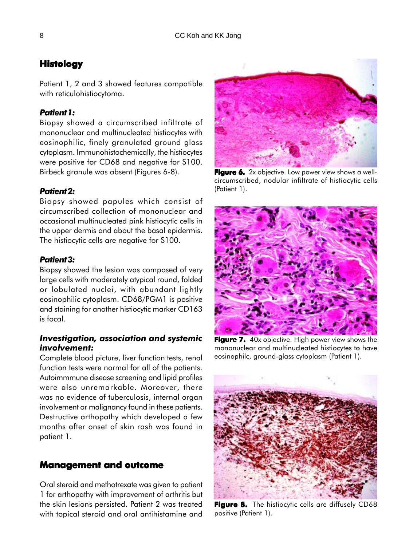## **Histology**

Patient 1, 2 and 3 showed features compatible with reticulohistiocytoma.

### *Patient 1:*

Biopsy showed a circumscribed infiltrate of mononuclear and multinucleated histiocytes with eosinophilic, finely granulated ground glass cytoplasm. Immunohistochemically, the histiocytes were positive for CD68 and negative for S100. Birbeck granule was absent (Figures 6-8).

### *Patient 2:*

Biopsy showed papules which consist of circumscribed collection of mononuclear and occasional multinucleated pink histiocytic cells in the upper dermis and about the basal epidermis. The histiocytic cells are negative for S100.

### *Patient 3:*

Biopsy showed the lesion was composed of very large cells with moderately atypical round, folded or lobulated nuclei, with abundant lightly eosinophilic cytoplasm. CD68/PGM1 is positive and staining for another histiocytic marker CD163 is focal.

### *Investigation, association and systemic involvement:*

Complete blood picture, liver function tests, renal function tests were normal for all of the patients. Autoimmmune disease screening and lipid profiles were also unremarkable. Moreover, there was no evidence of tuberculosis, internal organ involvement or malignancy found in these patients. Destructive arthopathy which developed a few months after onset of skin rash was found in patient 1.

### **Management and outcome**

Oral steroid and methotrexate was given to patient 1 for arthopathy with improvement of arthritis but the skin lesions persisted. Patient 2 was treated with topical steroid and oral antihistamine and

**Figure 6.** 2x objective. Low power view shows a wellcircumscribed, nodular infiltrate of histiocytic cells (Patient 1).



**Figure 7. Figure 7.** 40x objective. High power view shows the mononuclear and multinucleated histiocytes to have eosinophilc, ground-glass cytoplasm (Patient 1).



**Figure 8. 8.** The histiocytic cells are diffusely CD68 positive (Patient 1).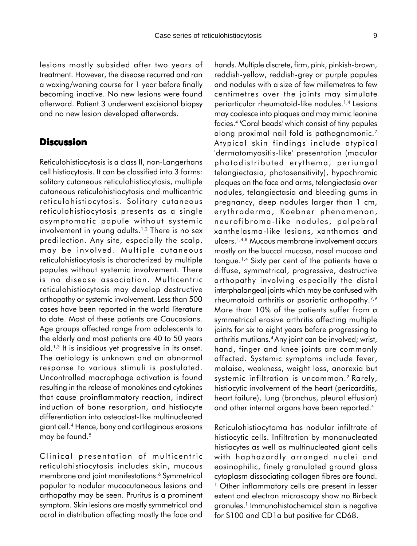lesions mostly subsided after two years of treatment. However, the disease recurred and ran a waxing/waning course for 1 year before finally becoming inactive. No new lesions were found afterward. Patient 3 underwent excisional biopsy and no new lesion developed afterwards.

### **Discussion**

Reticulohistiocytosis is a class II, non-Langerhans cell histiocytosis. It can be classified into 3 forms: solitary cutaneous reticulohistiocytosis, multiple cutaneous reticulohistiocytosis and multicentric reticulohistiocytosis. Solitary cutaneous reticulohistiocytosis presents as a single asymptomatic papule without systemic involvement in young adults.<sup>1,2</sup> There is no sex predilection. Any site, especially the scalp, may be involved. Multiple cutaneous reticulohistiocytosis is characterized by multiple papules without systemic involvement. There is no disease association. Multicentric reticulohistiocytosis may develop destructive arthopathy or systemic involvement. Less than 500 cases have been reported in the world literature to date. Most of these patients are Caucasians. Age groups affected range from adolescents to the elderly and most patients are 40 to 50 years old.1,3 It is insidious yet progressive in its onset. The aetiology is unknown and an abnormal response to various stimuli is postulated. Uncontrolled macrophage activation is found resulting in the release of monokines and cytokines that cause proinflammatory reaction, indirect induction of bone resorption, and histiocyte differentiation into osteoclast-like multinucleated giant cell.4 Hence, bony and cartilaginous erosions may be found.<sup>5</sup>

Clinical presentation of multicentric reticulohistiocytosis includes skin, mucous membrane and joint manifestations.<sup>6</sup> Symmetrical papular to nodular mucocutaneous lesions and arthopathy may be seen. Pruritus is a prominent symptom. Skin lesions are mostly symmetrical and acral in distribution affecting mostly the face and hands. Multiple discrete, firm, pink, pinkish-brown, reddish-yellow, reddish-grey or purple papules and nodules with a size of few millemetres to few centimetres over the joints may simulate periarticular rheumatoid-like nodules.1,4 Lesions may coalesce into plaques and may mimic leonine facies.4 'Coral beads' which consist of tiny papules along proximal nail fold is pathognomonic.7 Atypical skin findings include atypical 'dermatomyositis-like' presentation (macular photodistributed erythema, periungal telangiectasia, photosensitivity), hypochromic plaques on the face and arms, telangiectasia over nodules, telangiectasia and bleeding gums in pregnancy, deep nodules larger than 1 cm, erythroderma, Koebner phenomenon, neurofibroma-like nodules, palpebral xanthelasma-like lesions, xanthomas and ulcers.1,4,8 Mucous membrane involvement occurs mostly on the buccal mucosa, nasal mucosa and tongue.1,4 Sixty per cent of the patients have a diffuse, symmetrical, progressive, destructive arthopathy involving especially the distal interphalangeal joints which may be confused with rheumatoid arthritis or psoriatic arthopathy.<sup>7,9</sup> More than 10% of the patients suffer from a symmetrical erosive arthritis affecting multiple joints for six to eight years before progressing to arthritis mutilans.4 Any joint can be involved; wrist, hand, finger and knee joints are commonly affected. Systemic symptoms include fever, malaise, weakness, weight loss, anorexia but systemic infiltration is uncommon.<sup>2</sup> Rarely, histiocytic involvement of the heart (pericarditis, heart failure), lung (bronchus, pleural effusion) and other internal organs have been reported.4

Reticulohistiocytoma has nodular infiltrate of histiocytic cells. Infiltration by mononucleated histiocytes as well as multinucleated giant cells with haphazardly arranged nuclei and eosinophilic, finely granulated ground glass cytoplasm dissociating collagen fibres are found. <sup>1</sup> Other inflammatory cells are present in lesser extent and electron microscopy show no Birbeck granules.1 Immunohistochemical stain is negative for S100 and CD1a but positive for CD68.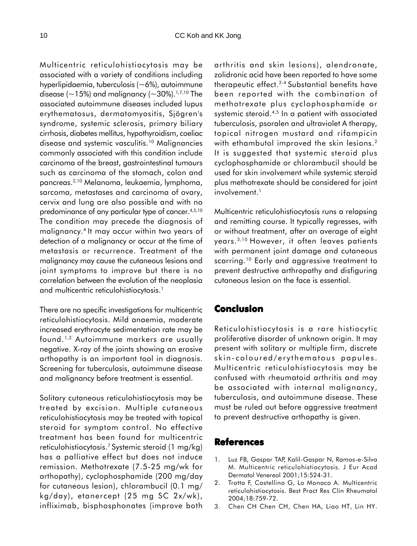Multicentric reticulohistiocytosis may be associated with a variety of conditions including hyperlipidaemia, tuberculosis (~6%), autoimmune disease ( $\sim$ 15%) and malignancy ( $\sim$ 30%).<sup>1,7,10</sup> The associated autoimmune diseases included lupus erythematosus, dermatomyositis, Sjögren's syndrome, systemic sclerosis, primary biliary cirrhosis, diabetes mellitus, hypothyroidism, coeliac disease and systemic vasculitis.10 Malignancies commonly associated with this condition include carcinoma of the breast, gastrointestinal tumours such as carcinoma of the stomach, colon and pancreas.2,10 Melanoma, leukaemia, lymphoma, sarcoma, metastases and carcinoma of ovary, cervix and lung are also possible and with no predominance of any particular type of cancer.<sup>4,5,10</sup> The condition may precede the diagnosis of malignancy.4 It may occur within two years of detection of a malignancy or occur at the time of metastasis or recurrence. Treatment of the malignancy may cause the cutaneous lesions and joint symptoms to improve but there is no correlation between the evolution of the neoplasia and multicentric reticulohistiocytosis.<sup>1</sup>

There are no specific investigations for multicentric reticulohistiocytosis. Mild anaemia, moderate increased erythrocyte sedimentation rate may be found.1,2 Autoimmune markers are usually negative. X-ray of the joints showing an erosive arthopathy is an important tool in diagnosis. Screening for tuberculosis, autoimmune disease and malignancy before treatment is essential.

Solitary cutaneous reticulohistiocytosis may be treated by excision. Multiple cutaneous reticulohistiocytosis may be treated with topical steroid for symptom control. No effective treatment has been found for multicentric reticulohistiocytosis.7 Systemic steroid (1 mg/kg) has a palliative effect but does not induce remission. Methotrexate (7.5-25 mg/wk for arthopathy), cyclophosphamide (200 mg/day for cutaneous lesion), chlorambucil (0.1 mg/ kg/day), etanercept (25 mg SC 2x/wk), infliximab, bisphosphonates (improve both

arthritis and skin lesions), alendronate, zolidronic acid have been reported to have some therapeutic effect.2-4 Substantial benefits have been reported with the combination of methotrexate plus cyclophosphamide or systemic steroid.<sup>4,5</sup> In a patient with associated tuberculosis, psoralen and ultraviolet A therapy, topical nitrogen mustard and rifampicin with ethambutol improved the skin lesions.<sup>2</sup> It is suggested that systemic steroid plus cyclophosphamide or chlorambucil should be used for skin involvement while systemic steroid plus methotrexate should be considered for joint involvement.<sup>1</sup>

Multicentric reticulohistiocytosis runs a relapsing and remitting course. It typically regresses, with or without treatment, after an average of eight years.3,10 However, it often leaves patients with permanent joint damage and cutaneous scarring.<sup>10</sup> Early and aggressive treatment to prevent destructive arthropathy and disfiguring cutaneous lesion on the face is essential.

### **Conclusion**

Reticulohistiocytosis is a rare histiocytic proliferative disorder of unknown origin. It may present with solitary or multiple firm, discrete skin-coloured/erythematous papules. Multicentric reticulohistiocytosis may be confused with rheumatoid arthritis and may be associated with internal malignancy, tuberculosis, and autoimmune disease. These must be ruled out before aggressive treatment to prevent destructive arthopathy is given.

### **References**

- 1. Luz FB, Gaspar TAP, Kalil-Gaspar N, Ramos-e-Silva M. Multicentric reticulohistiocytosis. J Eur Acad Dermatol Venereol 2001;15:524-31.
- 2. Trotta F, Castellino G, Lo Monaco A. Multicentric reticulohistiocytosis. Best Pract Res Clin Rheumatol 2004;18:759-72.
- 3. Chen CH Chen CH, Chen HA, Liao HT, Lin HY.